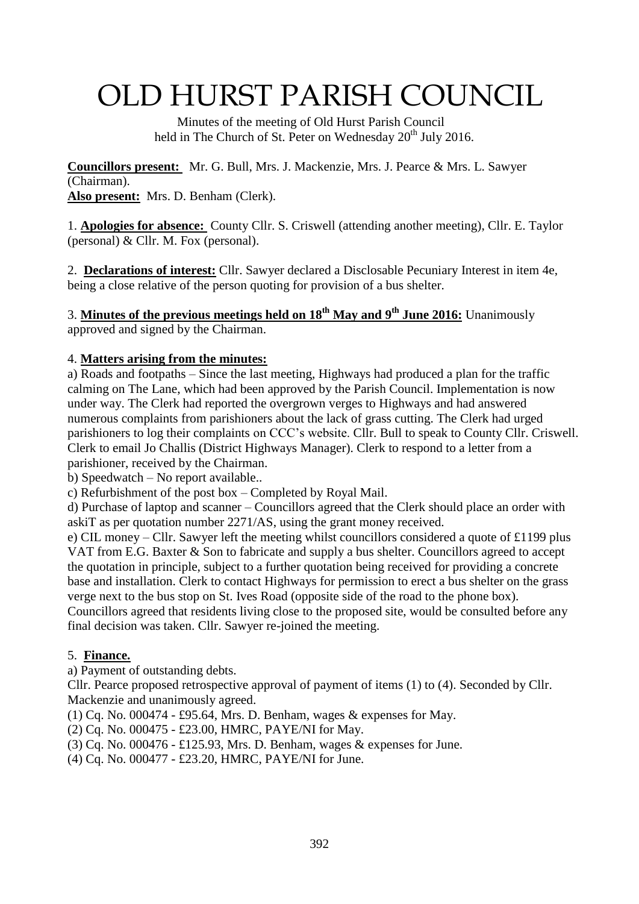# OLD HURST PARISH COUNCIL

 Minutes of the meeting of Old Hurst Parish Council held in The Church of St. Peter on Wednesday  $20^{th}$  July 2016.

**Councillors present:** Mr. G. Bull, Mrs. J. Mackenzie, Mrs. J. Pearce & Mrs. L. Sawyer (Chairman). **Also present:** Mrs. D. Benham (Clerk).

1. **Apologies for absence:** County Cllr. S. Criswell (attending another meeting), Cllr. E. Taylor (personal)  $&$  Cllr. M. Fox (personal).

2. **Declarations of interest:** Cllr. Sawyer declared a Disclosable Pecuniary Interest in item 4e, being a close relative of the person quoting for provision of a bus shelter.

## 3. **Minutes of the previous meetings held on 18th May and 9th June 2016:** Unanimously

approved and signed by the Chairman.

#### 4. **Matters arising from the minutes:**

a) Roads and footpaths – Since the last meeting, Highways had produced a plan for the traffic calming on The Lane, which had been approved by the Parish Council. Implementation is now under way. The Clerk had reported the overgrown verges to Highways and had answered numerous complaints from parishioners about the lack of grass cutting. The Clerk had urged parishioners to log their complaints on CCC's website. Cllr. Bull to speak to County Cllr. Criswell. Clerk to email Jo Challis (District Highways Manager). Clerk to respond to a letter from a parishioner, received by the Chairman.

b) Speedwatch – No report available..

c) Refurbishment of the post box – Completed by Royal Mail.

d) Purchase of laptop and scanner – Councillors agreed that the Clerk should place an order with askiT as per quotation number 2271/AS, using the grant money received.

e) CIL money – Cllr. Sawyer left the meeting whilst councillors considered a quote of £1199 plus VAT from E.G. Baxter & Son to fabricate and supply a bus shelter. Councillors agreed to accept the quotation in principle, subject to a further quotation being received for providing a concrete base and installation. Clerk to contact Highways for permission to erect a bus shelter on the grass verge next to the bus stop on St. Ives Road (opposite side of the road to the phone box). Councillors agreed that residents living close to the proposed site, would be consulted before any

final decision was taken. Cllr. Sawyer re-joined the meeting.

#### 5. **Finance.**

a) Payment of outstanding debts.

Cllr. Pearce proposed retrospective approval of payment of items (1) to (4). Seconded by Cllr. Mackenzie and unanimously agreed.

(1) Cq. No. 000474 - £95.64, Mrs. D. Benham, wages & expenses for May.

(2) Cq. No. 000475 - £23.00, HMRC, PAYE/NI for May.

(3) Cq. No. 000476 - £125.93, Mrs. D. Benham, wages & expenses for June.

(4) Cq. No. 000477 - £23.20, HMRC, PAYE/NI for June.